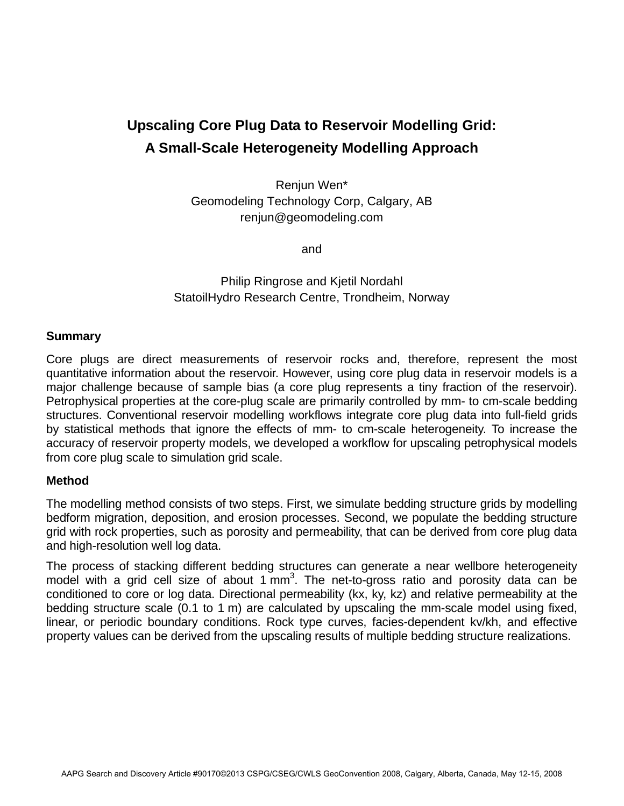# **Upscaling Core Plug Data to Reservoir Modelling Grid: A Small-Scale Heterogeneity Modelling Approach**

Renjun Wen\* Geomodeling Technology Corp, Calgary, AB renjun@geomodeling.com

and

## Philip Ringrose and Kjetil Nordahl StatoilHydro Research Centre, Trondheim, Norway

#### **Summary**

Core plugs are direct measurements of reservoir rocks and, therefore, represent the most quantitative information about the reservoir. However, using core plug data in reservoir models is a major challenge because of sample bias (a core plug represents a tiny fraction of the reservoir). Petrophysical properties at the core-plug scale are primarily controlled by mm- to cm-scale bedding structures. Conventional reservoir modelling workflows integrate core plug data into full-field grids by statistical methods that ignore the effects of mm- to cm-scale heterogeneity. To increase the accuracy of reservoir property models, we developed a workflow for upscaling petrophysical models from core plug scale to simulation grid scale.

#### **Method**

The modelling method consists of two steps. First, we simulate bedding structure grids by modelling bedform migration, deposition, and erosion processes. Second, we populate the bedding structure grid with rock properties, such as porosity and permeability, that can be derived from core plug data and high-resolution well log data.

The process of stacking different bedding structures can generate a near wellbore heterogeneity model with a grid cell size of about 1  $mm<sup>3</sup>$ . The net-to-gross ratio and porosity data can be conditioned to core or log data. Directional permeability (kx, ky, kz) and relative permeability at the bedding structure scale (0.1 to 1 m) are calculated by upscaling the mm-scale model using fixed, linear, or periodic boundary conditions. Rock type curves, facies-dependent kv/kh, and effective property values can be derived from the upscaling results of multiple bedding structure realizations.